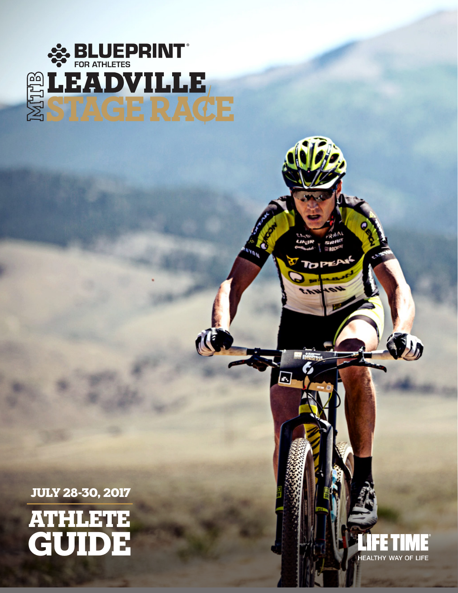

JULY 28-30, 2017

ATHLETE

GUIDE



 $\mathbf{y}_h$ 

 $\blacksquare$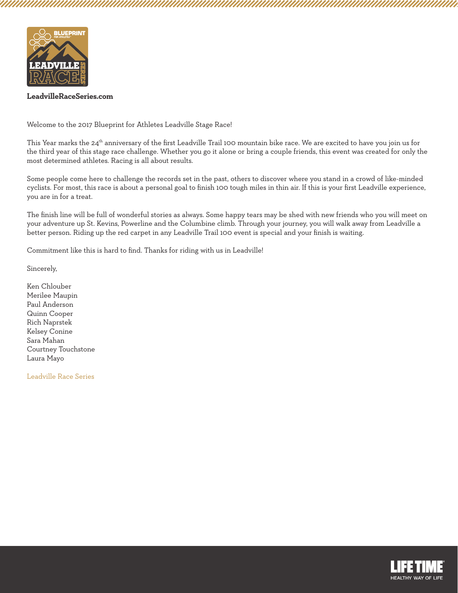

Welcome to the 2017 Blueprint for Athletes Leadville Stage Race!

This Year marks the 24<sup>th</sup> anniversary of the first Leadville Trail 100 mountain bike race. We are excited to have you join us for the third year of this stage race challenge. Whether you go it alone or bring a couple friends, this event was created for only the most determined athletes. Racing is all about results.

Some people come here to challenge the records set in the past, others to discover where you stand in a crowd of like-minded cyclists. For most, this race is about a personal goal to finish 100 tough miles in thin air. If this is your first Leadville experience, you are in for a treat.

The finish line will be full of wonderful stories as always. Some happy tears may be shed with new friends who you will meet on your adventure up St. Kevins, Powerline and the Columbine climb. Through your journey, you will walk away from Leadville a better person. Riding up the red carpet in any Leadville Trail 100 event is special and your finish is waiting.

Commitment like this is hard to find. Thanks for riding with us in Leadville!

Sincerely,

Ken Chlouber Merilee Maupin Paul Anderson Quinn Cooper Rich Naprstek Kelsey Conine Sara Mahan Courtney Touchstone Laura Mayo

Leadville Race Series

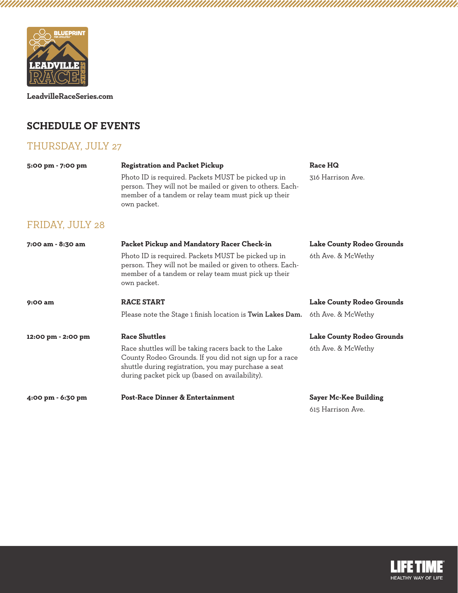

## **SCHEDULE OF EVENTS**

## THURSDAY, JULY 27

| 5:00 pm - 7:00 pm  | <b>Registration and Packet Pickup</b>                                                                                                                                                                                     | Race HQ                      |  |  |
|--------------------|---------------------------------------------------------------------------------------------------------------------------------------------------------------------------------------------------------------------------|------------------------------|--|--|
|                    | Photo ID is required. Packets MUST be picked up in<br>person. They will not be mailed or given to others. Each-<br>member of a tandem or relay team must pick up their<br>own packet.                                     | 316 Harrison Ave.            |  |  |
| FRIDAY, JULY 28    |                                                                                                                                                                                                                           |                              |  |  |
| 7:00 am - 8:30 am  | Packet Pickup and Mandatory Racer Check-in                                                                                                                                                                                | Lake County Rodeo Grounds    |  |  |
|                    | Photo ID is required. Packets MUST be picked up in<br>person. They will not be mailed or given to others. Each-<br>member of a tandem or relay team must pick up their<br>own packet.                                     | 6th Ave. & McWethy           |  |  |
| 9:00 am            | <b>RACE START</b>                                                                                                                                                                                                         | Lake County Rodeo Grounds    |  |  |
|                    | Please note the Stage 1 finish location is Twin Lakes Dam.                                                                                                                                                                | 6th Ave. & McWethy           |  |  |
| 12:00 pm - 2:00 pm | <b>Race Shuttles</b>                                                                                                                                                                                                      | Lake County Rodeo Grounds    |  |  |
|                    | Race shuttles will be taking racers back to the Lake<br>County Rodeo Grounds. If you did not sign up for a race<br>shuttle during registration, you may purchase a seat<br>during packet pick up (based on availability). | 6th Ave. & McWethy           |  |  |
| 4:00 pm - 6:30 pm  | <b>Post-Race Dinner &amp; Entertainment</b>                                                                                                                                                                               | <b>Sayer Mc-Kee Building</b> |  |  |

615 Harrison Ave.

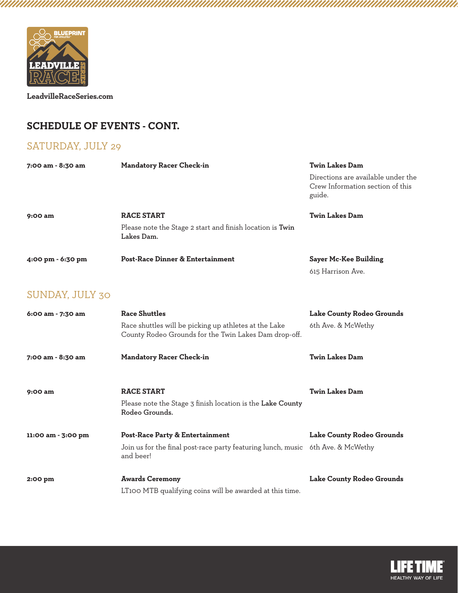

# **SCHEDULE OF EVENTS - CONT.**

# SATURDAY, JULY 29

| 7:00 am - 8:30 am  | <b>Mandatory Racer Check-in</b>                                                                                | <b>Twin Lakes Dam</b>                                                            |  |  |
|--------------------|----------------------------------------------------------------------------------------------------------------|----------------------------------------------------------------------------------|--|--|
|                    |                                                                                                                | Directions are available under the<br>Crew Information section of this<br>guide. |  |  |
| 9:00 am            | <b>RACE START</b>                                                                                              | <b>Twin Lakes Dam</b>                                                            |  |  |
|                    | Please note the Stage 2 start and finish location is Twin<br>Lakes Dam.                                        |                                                                                  |  |  |
| 4:00 pm - 6:30 pm  | <b>Post-Race Dinner &amp; Entertainment</b>                                                                    | <b>Sayer Mc-Kee Building</b>                                                     |  |  |
|                    |                                                                                                                | 615 Harrison Ave.                                                                |  |  |
| SUNDAY, JULY 30    |                                                                                                                |                                                                                  |  |  |
| 6:00 am - 7:30 am  | <b>Race Shuttles</b>                                                                                           | Lake County Rodeo Grounds                                                        |  |  |
|                    | Race shuttles will be picking up athletes at the Lake<br>County Rodeo Grounds for the Twin Lakes Dam drop-off. | 6th Ave. & McWethy                                                               |  |  |
| 7:00 am - 8:30 am  | <b>Mandatory Racer Check-in</b>                                                                                | <b>Twin Lakes Dam</b>                                                            |  |  |
| 9:00 am            | <b>RACE START</b>                                                                                              | <b>Twin Lakes Dam</b>                                                            |  |  |
|                    | Please note the Stage 3 finish location is the Lake County<br>Rodeo Grounds.                                   |                                                                                  |  |  |
| 11:00 am - 3:00 pm | <b>Post-Race Party &amp; Entertainment</b>                                                                     | Lake County Rodeo Grounds                                                        |  |  |
|                    | Join us for the final post-race party featuring lunch, music 6th Ave. & McWethy<br>and beer!                   |                                                                                  |  |  |
| 2:00 pm            | <b>Awards Ceremony</b>                                                                                         | Lake County Rodeo Grounds                                                        |  |  |
|                    | LT100 MTB qualifying coins will be awarded at this time.                                                       |                                                                                  |  |  |

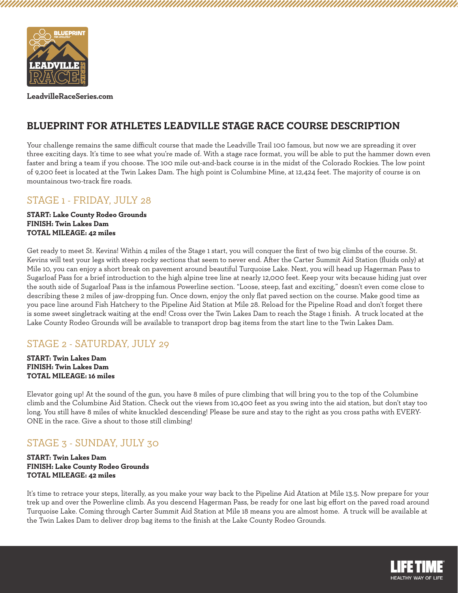

## **BLUEPRINT FOR ATHLETES LEADVILLE STAGE RACE COURSE DESCRIPTION**

Your challenge remains the same difficult course that made the Leadville Trail 100 famous, but now we are spreading it over three exciting days. It's time to see what you're made of. With a stage race format, you will be able to put the hammer down even faster and bring a team if you choose. The 100 mile out-and-back course is in the midst of the Colorado Rockies. The low point of 9,200 feet is located at the Twin Lakes Dam. The high point is Columbine Mine, at 12,424 feet. The majority of course is on mountainous two-track fire roads.

### STAGE 1 - FRIDAY, JULY 28

**START: Lake County Rodeo Grounds FINISH: Twin Lakes Dam TOTAL MILEAGE: 42 miles**

Get ready to meet St. Kevins! Within 4 miles of the Stage 1 start, you will conquer the first of two big climbs of the course. St. Kevins will test your legs with steep rocky sections that seem to never end. After the Carter Summit Aid Station (fluids only) at Mile 10, you can enjoy a short break on pavement around beautiful Turquoise Lake. Next, you will head up Hagerman Pass to Sugarloaf Pass for a brief introduction to the high alpine tree line at nearly 12,000 feet. Keep your wits because hiding just over the south side of Sugarloaf Pass is the infamous Powerline section. "Loose, steep, fast and exciting," doesn't even come close to describing these 2 miles of jaw-dropping fun. Once down, enjoy the only flat paved section on the course. Make good time as you pace line around Fish Hatchery to the Pipeline Aid Station at Mile 28. Reload for the Pipeline Road and don't forget there is some sweet singletrack waiting at the end! Cross over the Twin Lakes Dam to reach the Stage 1 finish. A truck located at the Lake County Rodeo Grounds will be available to transport drop bag items from the start line to the Twin Lakes Dam.

### STAGE 2 - SATURDAY, JULY 29

**START: Twin Lakes Dam FINISH: Twin Lakes Dam TOTAL MILEAGE: 16 miles**

Elevator going up! At the sound of the gun, you have 8 miles of pure climbing that will bring you to the top of the Columbine climb and the Columbine Aid Station. Check out the views from 10,400 feet as you swing into the aid station, but don't stay too long. You still have 8 miles of white knuckled descending! Please be sure and stay to the right as you cross paths with EVERY-ONE in the race. Give a shout to those still climbing!

## STAGE 3 - SUNDAY, JULY 30

**START: Twin Lakes Dam FINISH: Lake County Rodeo Grounds TOTAL MILEAGE: 42 miles**

It's time to retrace your steps, literally, as you make your way back to the Pipeline Aid Atation at Mile 13.5. Now prepare for your trek up and over the Powerline climb. As you descend Hagerman Pass, be ready for one last big effort on the paved road around Turquoise Lake. Coming through Carter Summit Aid Station at Mile 18 means you are almost home. A truck will be available at the Twin Lakes Dam to deliver drop bag items to the finish at the Lake County Rodeo Grounds.

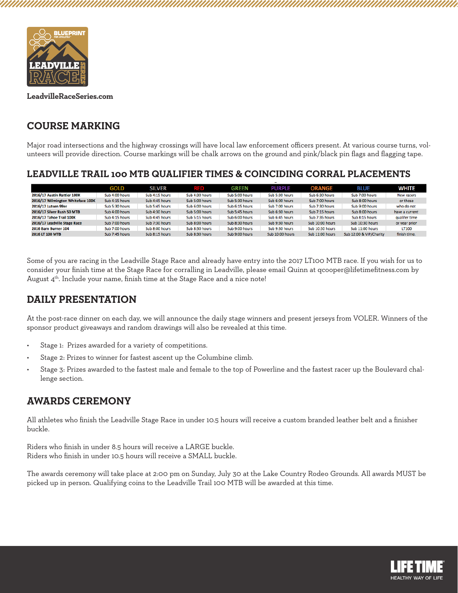

## **COURSE MARKING**

Major road intersections and the highway crossings will have local law enforcement officers present. At various course turns, volunteers will provide direction. Course markings will be chalk arrows on the ground and pink/black pin flags and flagging tape.

### **LEADVILLE TRAIL 100 MTB QUALIFIER TIMES & COINCIDING CORRAL PLACEMENTS**

|                                   | <b>GOLD</b>    | <b>SILVER</b>  | a s            | GREEN          | <b>PURPLE</b>   | <b>ORANGE</b>   | <b>BLUE</b>             | White          |
|-----------------------------------|----------------|----------------|----------------|----------------|-----------------|-----------------|-------------------------|----------------|
| 2016/17 Austin Rattler 100K       | Sub 4:00 hours | Sub 4:15 hours | Sub 4:30 hours | Sub 5:00 hours | Sub 5:30 hours  | Sub 6:30 hours  | Sub 7:00 hours          | New racers     |
| 2016/17 Wilmington Whiteface 100K | Sub 4:15 hours | Sub 4:45 hours | Sub 5:00 hours | Sub 5:30 hours | Sub 6:00 hours  | Sub 7:00 hours  | Sub 8:00 hours          | or those       |
| 2016/17 Lutsen 99er               | Sub 5:30 hours | Sub 5:45 hours | Sub 6:00 hours | Sub 6:15 hours | Sub 7:00 hours  | Sub 7:30 hours  | Sub 9:00 hours          | who do not     |
| 2016/17 Silver Rush 50 MTB        | Sub 4:00 hours | Sub 4:30 hours | Sub 5:00 hours | Sub 5:45 hours | Sub 6:30 hours  | Sub 7:15 hours  | Sub 8:00 hours          | have a current |
| 2016/17 Tahoe Trail 100K          | Sub 4:15 hours | Sub 4:45 hours | Sub 5:15 hours | Sub 6:00 hours | Sub 6:45 hours  | Sub 7:35 hours  | Sub 8:15 hours          | qualifer time  |
| 2016/17 Leadville Stage Race      | Sub 7:00 hours | Sub 7:30 hours | Sub 8:00 hours | Sub 8:30 hours | Sub 9:30 hours  | Sub 10:00 hours | Sub 10:30 hours         | or year prior  |
| <b>2016 Barn Burner 104</b>       | Sub 7:00 hours | Sub 8:00 hours | Sub 8:30 hours | Sub 9:00 hours | Sub 9:30 hours  | Sub 10:30 hours | Sub 11:00 hours         | <b>LT100</b>   |
| 2016 LT 100 MTB                   | Sub 7:45 hours | Sub 8:15 hours | Sub 8:30 hours | Sub 9:00 hours | Sub 10:00 hours | Sub 11:00 hours | Sub 12:00 & VIP/Charity | finish time.   |

Some of you are racing in the Leadville Stage Race and already have entry into the 2017 LT100 MTB race. If you wish for us to consider your finish time at the Stage Race for corralling in Leadville, please email Quinn at qcooper@lifetimefitness.com by August  $4<sup>th</sup>$ . Include your name, finish time at the Stage Race and a nice note!

# **DAILY PRESENTATION**

At the post-race dinner on each day, we will announce the daily stage winners and present jerseys from VOLER. Winners of the sponsor product giveaways and random drawings will also be revealed at this time.

- Stage 1: Prizes awarded for a variety of competitions.
- Stage 2: Prizes to winner for fastest ascent up the Columbine climb.
- Stage 3: Prizes awarded to the fastest male and female to the top of Powerline and the fastest racer up the Boulevard challenge section.

## **AWARDS CEREMONY**

All athletes who finish the Leadville Stage Race in under 10.5 hours will receive a custom branded leather belt and a finisher buckle.

Riders who finish in under 8.5 hours will receive a LARGE buckle. Riders who finish in under 10.5 hours will receive a SMALL buckle.

The awards ceremony will take place at 2:00 pm on Sunday, July 30 at the Lake Country Rodeo Grounds. All awards MUST be picked up in person. Qualifying coins to the Leadville Trail 100 MTB will be awarded at this time.

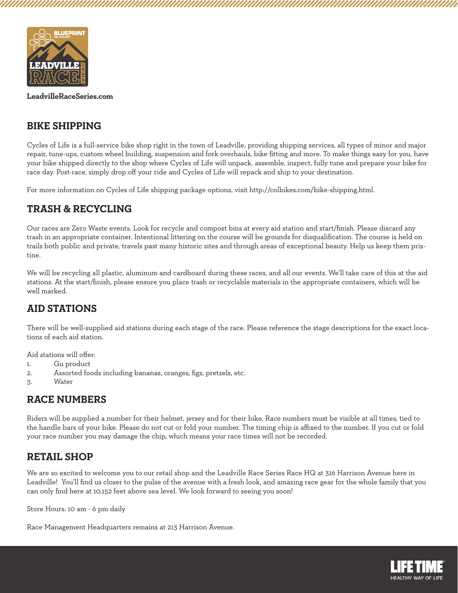

## **BIKE SHIPPING**

Cycles of Life is a full-service bike shop right in the town of Leadville, providing shipping services, all types of minor and major repair, tune-ups, custom wheel building, suspension and fork overhauls, bike fitting and more. To make things easy for you, have your bike shipped directly to the shop where Cycles of Life will unpack, assemble, inspect, fully tune and prepare your bike for race day. Post-race, simply drop off your ride and Cycles of Life will repack and ship to your destination.

For more information on Cycles of Life shipping package options, visit http://colbikes.com/bike-shipping.html.

### **TRASH & RECYCLING**

Our races are Zero Waste events. Look for recycle and compost bins at every aid station and start/finish. Please discard any trash in an appropriate container. Intentional littering on the course will be grounds for disqualification. The course is held on trails both public and private, travels past many historic sites and through areas of exceptional beauty. Help us keep them pristine.

We will be recycling all plastic, aluminum and cardboard during these races, and all our events. We'll take care of this at the aid stations. At the start/finish, please ensure you place trash or recyclable materials in the appropriate containers, which will be well marked.

### **AID STATIONS**

There will be well-supplied aid stations during each stage of the race. Please reference the stage descriptions for the exact locations of each aid station.

Aid stations will offer:

- 1. Gu product
- 2. Assorted foods including bananas, oranges, figs, pretzels, etc.
- 3. Water

## **RACE NUMBERS**

Riders will be supplied a number for their helmet, jersey and for their bike. Race numbers must be visible at all times, tied to the handle bars of your bike. Please do not cut or fold your number. The timing chip is affixed to the number. If you cut or fold your race number you may damage the chip, which means your race times will not be recorded.

### **RETAIL SHOP**

We are so excited to welcome you to our retail shop and the Leadville Race Series Race HQ at 316 Harrison Avenue here in Leadville! You'll find us closer to the pulse of the avenue with a fresh look, and amazing race gear for the whole family that you can only find here at 10,152 feet above sea level. We look forward to seeing you soon!

Store Hours: 10 am - 6 pm daily

Race Management Headquarters remains at 213 Harrison Avenue.

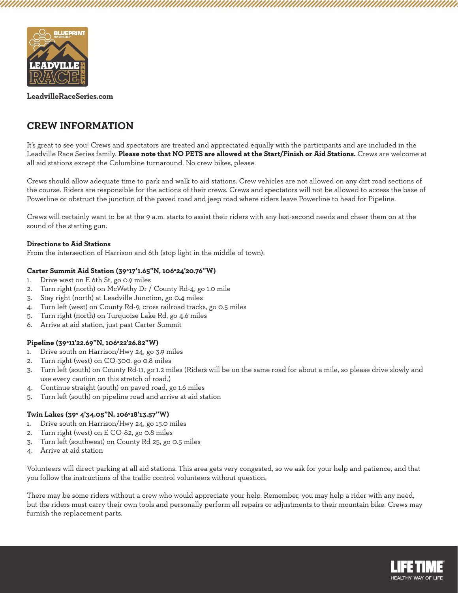

## **CREW INFORMATION**

It's great to see you! Crews and spectators are treated and appreciated equally with the participants and are included in the Leadville Race Series family. **Please note that NO PETS are allowed at the Start/Finish or Aid Stations.** Crews are welcome at all aid stations except the Columbine turnaround. No crew bikes, please.

Crews should allow adequate time to park and walk to aid stations. Crew vehicles are not allowed on any dirt road sections of the course. Riders are responsible for the actions of their crews. Crews and spectators will not be allowed to access the base of Powerline or obstruct the junction of the paved road and jeep road where riders leave Powerline to head for Pipeline.

Crews will certainly want to be at the 9 a.m. starts to assist their riders with any last-second needs and cheer them on at the sound of the starting gun.

#### **Directions to Aid Stations**

From the intersection of Harrison and 6th (stop light in the middle of town):

#### **Carter Summit Aid Station (39°17'1.65"N, 106°24'20.76"W)**

- 1. Drive west on E 6th St, go 0.9 miles
- 2. Turn right (north) on McWethy Dr / County Rd-4, go 1.0 mile
- 3. Stay right (north) at Leadville Junction, go 0.4 miles
- 4. Turn left (west) on County Rd-9, cross railroad tracks, go 0.5 miles
- 5. Turn right (north) on Turquoise Lake Rd, go 4.6 miles
- 6. Arrive at aid station, just past Carter Summit

#### **Pipeline (39°11'22.69"N, 106°22'26.82"W)**

- 1. Drive south on Harrison/Hwy 24, go 3.9 miles
- 2. Turn right (west) on CO-300, go 0.8 miles
- 3. Turn left (south) on County Rd-11, go 1.2 miles (Riders will be on the same road for about a mile, so please drive slowly and use every caution on this stretch of road.)
- 4. Continue straight (south) on paved road, go 1.6 miles
- 5. Turn left (south) on pipeline road and arrive at aid station

#### **Twin Lakes (39° 4'34.05"N, 106°18'13.57"W)**

- 1. Drive south on Harrison/Hwy 24, go 15.0 miles
- 2. Turn right (west) on E CO-82, go 0.8 miles
- 3. Turn left (southwest) on County Rd 25, go 0.5 miles
- 4. Arrive at aid station

Volunteers will direct parking at all aid stations. This area gets very congested, so we ask for your help and patience, and that you follow the instructions of the traffic control volunteers without question.

There may be some riders without a crew who would appreciate your help. Remember, you may help a rider with any need, but the riders must carry their own tools and personally perform all repairs or adjustments to their mountain bike. Crews may furnish the replacement parts.

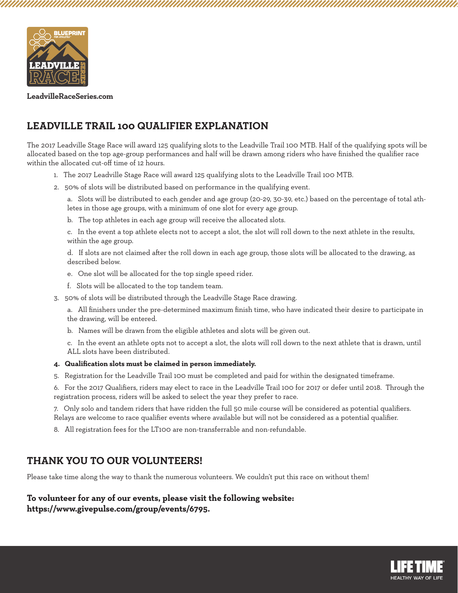

# **LEADVILLE TRAIL 100 QUALIFIER EXPLANATION**

The 2017 Leadville Stage Race will award 125 qualifying slots to the Leadville Trail 100 MTB. Half of the qualifying spots will be allocated based on the top age-group performances and half will be drawn among riders who have finished the qualifier race within the allocated cut-off time of 12 hours.

- 1. The 2017 Leadville Stage Race will award 125 qualifying slots to the Leadville Trail 100 MTB.
- 2. 50% of slots will be distributed based on performance in the qualifying event.

a. Slots will be distributed to each gender and age group (20-29, 30-39, etc.) based on the percentage of total athletes in those age groups, with a minimum of one slot for every age group.

b. The top athletes in each age group will receive the allocated slots.

c. In the event a top athlete elects not to accept a slot, the slot will roll down to the next athlete in the results, within the age group.

d. If slots are not claimed after the roll down in each age group, those slots will be allocated to the drawing, as described below.

- e. One slot will be allocated for the top single speed rider.
- f. Slots will be allocated to the top tandem team.
- 3. 50% of slots will be distributed through the Leadville Stage Race drawing.

a. All finishers under the pre-determined maximum finish time, who have indicated their desire to participate in the drawing, will be entered.

b. Names will be drawn from the eligible athletes and slots will be given out.

c. In the event an athlete opts not to accept a slot, the slots will roll down to the next athlete that is drawn, until ALL slots have been distributed.

#### **4. Qualification slots must be claimed in person immediately.**

5. Registration for the Leadville Trail 100 must be completed and paid for within the designated timeframe.

6. For the 2017 Qualifiers, riders may elect to race in the Leadville Trail 100 for 2017 or defer until 2018. Through the registration process, riders will be asked to select the year they prefer to race.

7. Only solo and tandem riders that have ridden the full 50 mile course will be considered as potential qualifiers. Relays are welcome to race qualifier events where available but will not be considered as a potential qualifier.

8. All registration fees for the LT100 are non-transferrable and non-refundable.

### **THANK YOU TO OUR VOLUNTEERS!**

Please take time along the way to thank the numerous volunteers. We couldn't put this race on without them!

#### **To volunteer for any of our events, please visit the following website: https://www.givepulse.com/group/events/6795.**

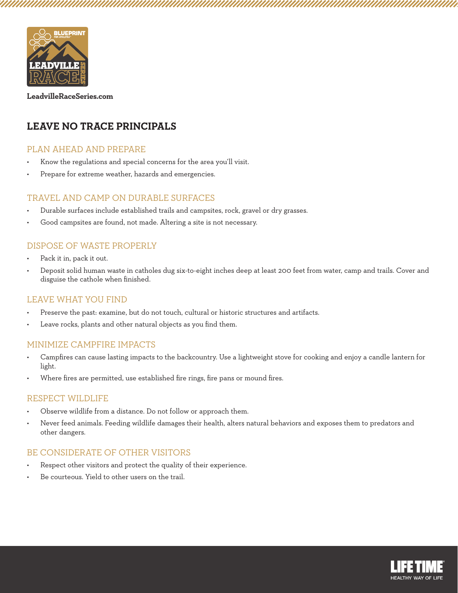

# **LEAVE NO TRACE PRINCIPALS**

#### PLAN AHEAD AND PREPARE

- Know the regulations and special concerns for the area you'll visit.
- Prepare for extreme weather, hazards and emergencies.

#### TRAVEL AND CAMP ON DURABLE SURFACES

- Durable surfaces include established trails and campsites, rock, gravel or dry grasses.
- Good campsites are found, not made. Altering a site is not necessary.

#### DISPOSE OF WASTE PROPERLY

- Pack it in, pack it out.
- Deposit solid human waste in catholes dug six-to-eight inches deep at least 200 feet from water, camp and trails. Cover and disguise the cathole when finished.

#### LEAVE WHAT YOU FIND

- Preserve the past: examine, but do not touch, cultural or historic structures and artifacts.
- Leave rocks, plants and other natural objects as you find them.

#### MINIMIZE CAMPFIRE IMPACTS

- Campfires can cause lasting impacts to the backcountry. Use a lightweight stove for cooking and enjoy a candle lantern for light.
- Where fires are permitted, use established fire rings, fire pans or mound fires.

#### RESPECT WILDLIFE

- Observe wildlife from a distance. Do not follow or approach them.
- Never feed animals. Feeding wildlife damages their health, alters natural behaviors and exposes them to predators and other dangers.

### BE CONSIDERATE OF OTHER VISITORS

- Respect other visitors and protect the quality of their experience.
- Be courteous. Yield to other users on the trail.

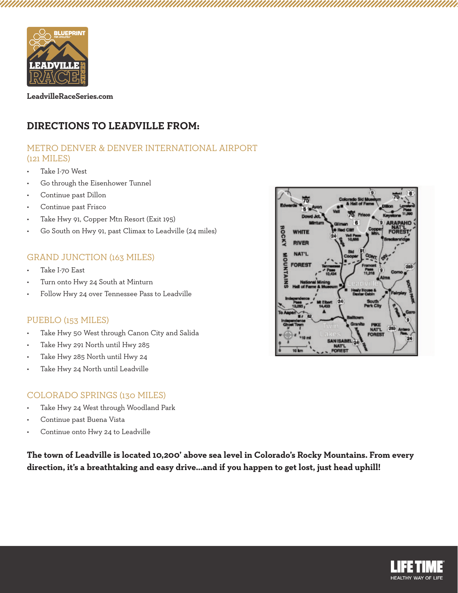

## **DIRECTIONS TO LEADVILLE FROM:**

### METRO DENVER & DENVER INTERNATIONAL AIRPORT (121 MILES)

- Take I-70 West
- Go through the Eisenhower Tunnel
- Continue past Dillon
- Continue past Frisco
- Take Hwy 91, Copper Mtn Resort (Exit 195)
- Go South on Hwy 91, past Climax to Leadville (24 miles)

#### GRAND JUNCTION (163 MILES)

- Take I-70 East
- Turn onto Hwy 24 South at Minturn
- Follow Hwy 24 over Tennessee Pass to Leadville

#### PUEBLO (153 MILES)

- Take Hwy 50 West through Canon City and Salida
- Take Hwy 291 North until Hwy 285
- Take Hwy 285 North until Hwy 24
- Take Hwy 24 North until Leadville

#### COLORADO SPRINGS (130 MILES)

- Take Hwy 24 West through Woodland Park
- Continue past Buena Vista
- Continue onto Hwy 24 to Leadville

**The town of Leadville is located 10,200' above sea level in Colorado's Rocky Mountains. From every direction, it's a breathtaking and easy drive...and if you happen to get lost, just head uphill!**



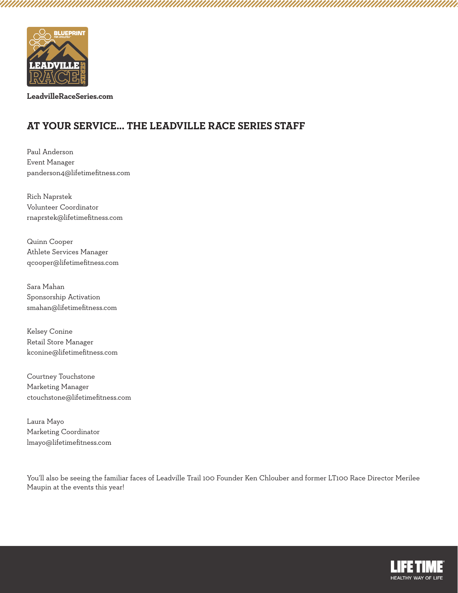

# **AT YOUR SERVICE... THE LEADVILLE RACE SERIES STAFF**

Paul Anderson Event Manager panderson4@lifetimefitness.com

Rich Naprstek Volunteer Coordinator rnaprstek@lifetimefitness.com

Quinn Cooper Athlete Services Manager qcooper@lifetimefitness.com

Sara Mahan Sponsorship Activation smahan@lifetimefitness.com

Kelsey Conine Retail Store Manager kconine@lifetimefitness.com

Courtney Touchstone Marketing Manager ctouchstone@lifetimefitness.com

Laura Mayo Marketing Coordinator lmayo@lifetimefitness.com

You'll also be seeing the familiar faces of Leadville Trail 100 Founder Ken Chlouber and former LT100 Race Director Merilee Maupin at the events this year!



UMMANAMIN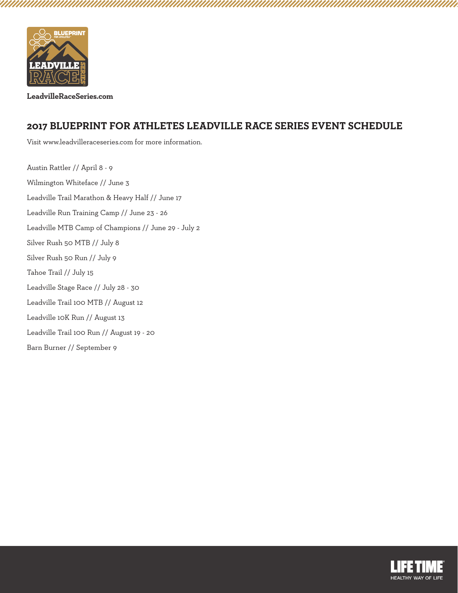

aaaaaaaaaaaaaa

**LeadvilleRaceSeries.com**

### **2017 BLUEPRINT FOR ATHLETES LEADVILLE RACE SERIES EVENT SCHEDULE**

Visit www.leadvilleraceseries.com for more information.

Austin Rattler // April 8 - 9 Wilmington Whiteface // June 3 Leadville Trail Marathon & Heavy Half // June 17 Leadville Run Training Camp // June 23 - 26 Leadville MTB Camp of Champions // June 29 - July 2 Silver Rush 50 MTB // July 8 Silver Rush 50 Run // July 9 Tahoe Trail // July 15 Leadville Stage Race // July 28 - 30 Leadville Trail 100 MTB // August 12 Leadville 10K Run // August 13 Leadville Trail 100 Run // August 19 - 20 Barn Burner // September 9